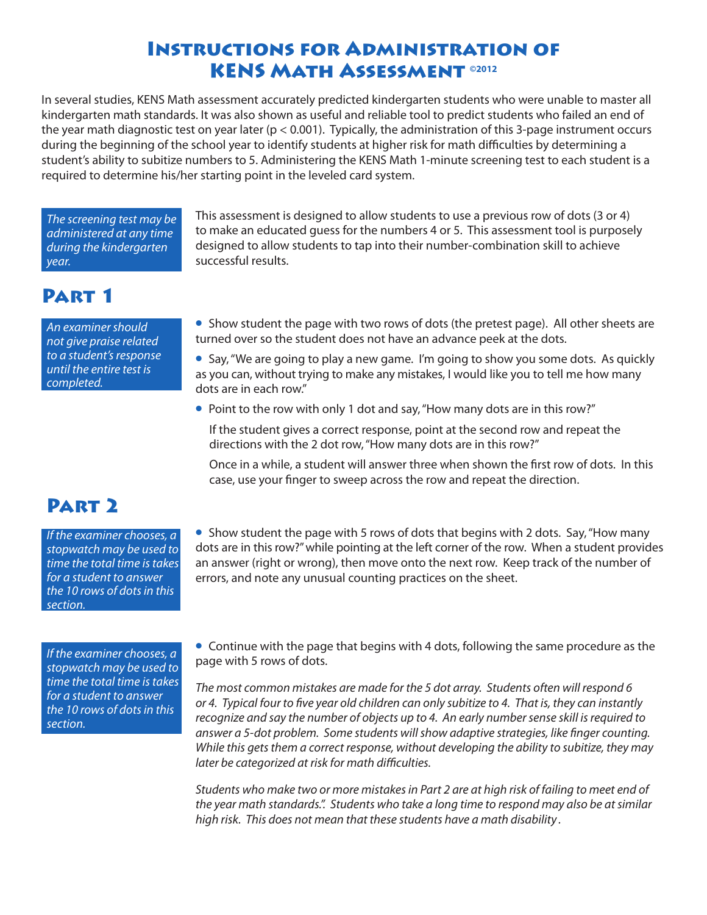### Instructions for Administration of KENS Math Assessment **©2012**

In several studies, KENS Math assessment accurately predicted kindergarten students who were unable to master all kindergarten math standards. It was also shown as useful and reliable tool to predict students who failed an end of the year math diagnostic test on year later (p < 0.001). Typically, the administration of this 3-page instrument occurs during the beginning of the school year to identify students at higher risk for math difficulties by determining a student's ability to subitize numbers to 5. Administering the KENS Math 1-minute screening test to each student is a required to determine his/her starting point in the leveled card system.

*The screening test may be administered at any time during the kindergarten year.*

This assessment is designed to allow students to use a previous row of dots (3 or 4) to make an educated guess for the numbers 4 or 5. This assessment tool is purposely designed to allow students to tap into their number-combination skill to achieve successful results.

## PART<sub>1</sub>

*An examiner should not give praise related to a student's response until the entire test is completed.*

• Show student the page with two rows of dots (the pretest page). All other sheets are turned over so the student does not have an advance peek at the dots.

• Say, "We are going to play a new game. I'm going to show you some dots. As quickly as you can, without trying to make any mistakes, I would like you to tell me how many dots are in each row."

• Point to the row with only 1 dot and say, "How many dots are in this row?"

If the student gives a correct response, point at the second row and repeat the directions with the 2 dot row, "How many dots are in this row?"

Once in a while, a student will answer three when shown the first row of dots. In this case, use your finger to sweep across the row and repeat the direction.

## PART<sub>2</sub>

*If the examiner chooses, a stopwatch may be used to time the total time is takes for a student to answer the 10 rows of dots in this section.*

• Show student the page with 5 rows of dots that begins with 2 dots. Say, "How many dots are in this row?" while pointing at the left corner of the row. When a student provides an answer (right or wrong), then move onto the next row. Keep track of the number of errors, and note any unusual counting practices on the sheet.

*If the examiner chooses, a stopwatch may be used to time the total time is takes for a student to answer the 10 rows of dots in this section.* 

• Continue with the page that begins with 4 dots, following the same procedure as the page with 5 rows of dots.

*The most common mistakes are made for the 5 dot array. Students often will respond 6 or 4. Typical four to five year old children can only subitize to 4. That is, they can instantly recognize and say the number of objects up to 4. An early number sense skill is required to answer a 5-dot problem. Some students will show adaptive strategies, like finger counting. While this gets them a correct response, without developing the ability to subitize, they may later be categorized at risk for math difficulties.* 

*Students who make two or more mistakes in Part 2 are at high risk of failing to meet end of the year math standards.". Students who take a long time to respond may also be at similar high risk. This does not mean that these students have a math disability .*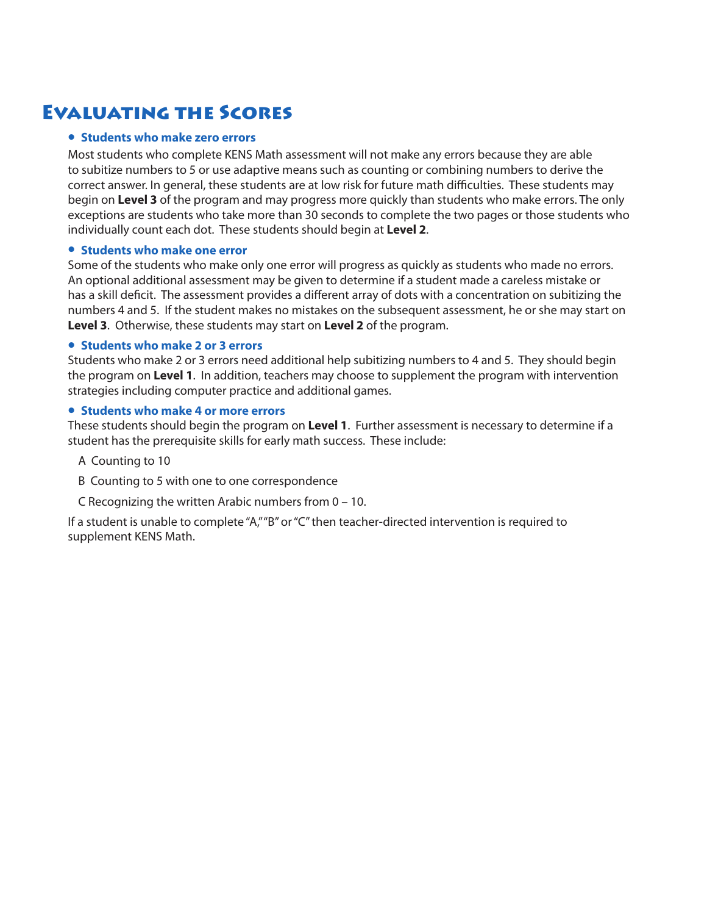## Evaluating the Scores

#### • **Students who make zero errors**

Most students who complete KENS Math assessment will not make any errors because they are able to subitize numbers to 5 or use adaptive means such as counting or combining numbers to derive the correct answer. In general, these students are at low risk for future math difficulties. These students may begin on **Level 3** of the program and may progress more quickly than students who make errors. The only exceptions are students who take more than 30 seconds to complete the two pages or those students who individually count each dot. These students should begin at **Level 2**.

#### • **Students who make one error**

Some of the students who make only one error will progress as quickly as students who made no errors. An optional additional assessment may be given to determine if a student made a careless mistake or has a skill deficit. The assessment provides a different array of dots with a concentration on subitizing the numbers 4 and 5. If the student makes no mistakes on the subsequent assessment, he or she may start on **Level 3**. Otherwise, these students may start on **Level 2** of the program.

#### • **Students who make 2 or 3 errors**

Students who make 2 or 3 errors need additional help subitizing numbers to 4 and 5. They should begin the program on **Level 1**. In addition, teachers may choose to supplement the program with intervention strategies including computer practice and additional games.

#### • **Students who make 4 or more errors**

These students should begin the program on **Level 1**. Further assessment is necessary to determine if a student has the prerequisite skills for early math success. These include:

- A Counting to 10
- B Counting to 5 with one to one correspondence
- C Recognizing the written Arabic numbers from 0 10.

If a student is unable to complete "A," "B" or "C" then teacher-directed intervention is required to supplement KENS Math.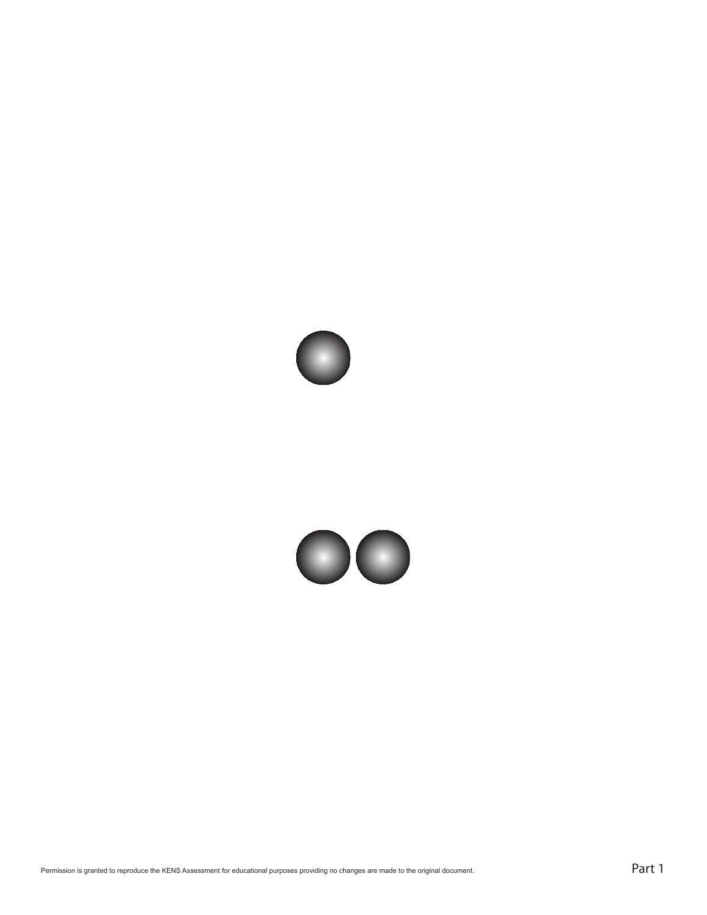

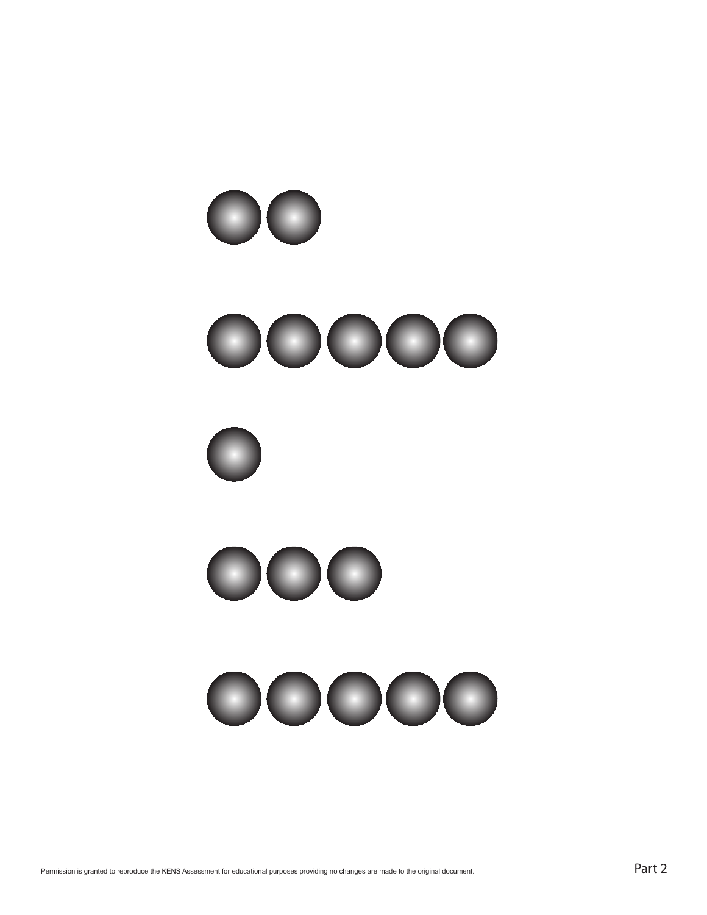#